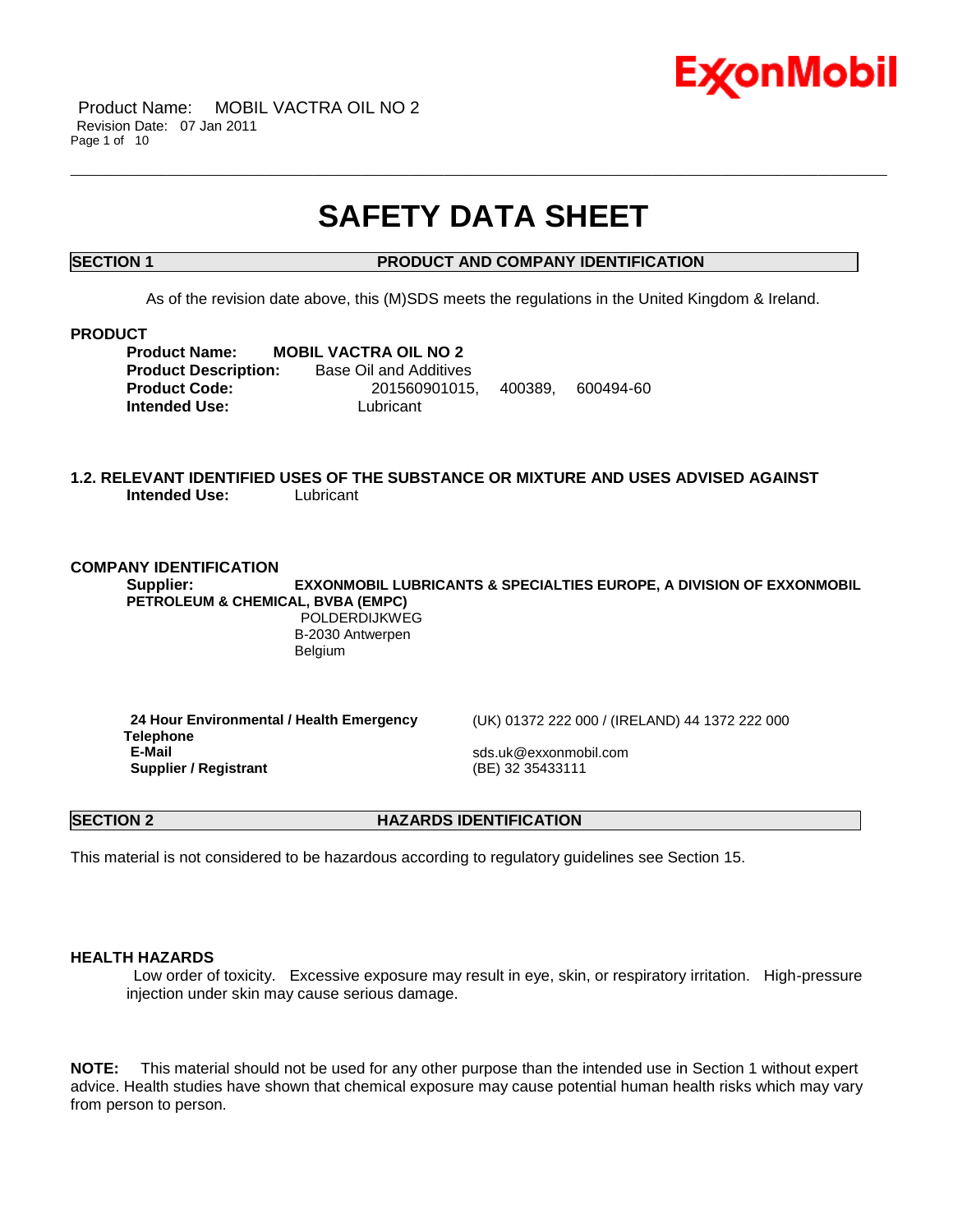

Product Name: MOBIL VACTRA OIL NO 2 Revision Date: 07 Jan 2011 Page 1 of 10

## **SAFETY DATA SHEET**

\_\_\_\_\_\_\_\_\_\_\_\_\_\_\_\_\_\_\_\_\_\_\_\_\_\_\_\_\_\_\_\_\_\_\_\_\_\_\_\_\_\_\_\_\_\_\_\_\_\_\_\_\_\_\_\_\_\_\_\_\_\_\_\_\_\_\_\_\_\_\_\_\_\_\_\_\_\_\_\_\_\_\_\_\_\_\_\_\_\_\_\_\_\_\_\_\_\_\_\_\_\_\_\_\_\_\_\_\_\_\_\_\_\_\_\_\_\_

### **SECTION 1 PRODUCT AND COMPANY IDENTIFICATION**

As of the revision date above, this (M)SDS meets the regulations in the United Kingdom & Ireland.

#### **PRODUCT**

**Product Name: MOBIL VACTRA OIL NO 2 Product Description:** Base Oil and Additives **Product Code:** 201560901015, 400389, 600494-60 **Intended Use: Lubricant** 

#### **1.2. RELEVANT IDENTIFIED USES OF THE SUBSTANCE OR MIXTURE AND USES ADVISED AGAINST Intended Use:** Lubricant

#### **COMPANY IDENTIFICATION**

**Supplier: EXXONMOBIL LUBRICANTS & SPECIALTIES EUROPE, A DIVISION OF EXXONMOBIL PETROLEUM & CHEMICAL, BVBA (EMPC)**

> POLDERDIJKWEG B-2030 Antwerpen Belgium

**24 Hour Environmental / Health Emergency Telephone Supplier / Registrant** 

(UK) 01372 222 000 / (IRELAND) 44 1372 222 000

**E-Mail** sds.uk@exxonmobil.com

**SECTION 2 HAZARDS IDENTIFICATION** 

This material is not considered to be hazardous according to regulatory guidelines see Section 15.

#### **HEALTH HAZARDS**

Low order of toxicity. Excessive exposure may result in eye, skin, or respiratory irritation. High-pressure injection under skin may cause serious damage.

**NOTE:** This material should not be used for any other purpose than the intended use in Section 1 without expert advice. Health studies have shown that chemical exposure may cause potential human health risks which may vary from person to person.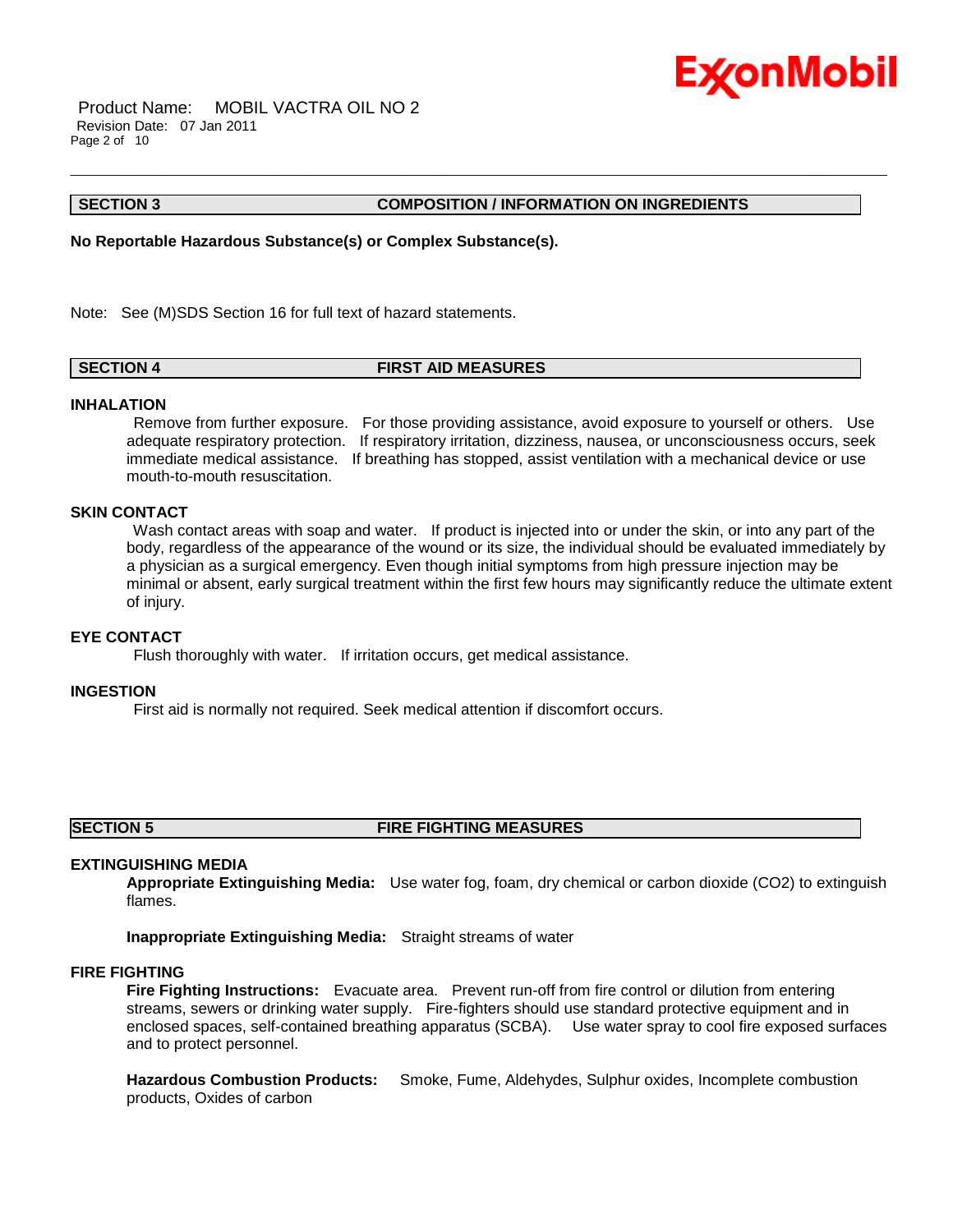

Product Name: MOBIL VACTRA OIL NO 2 Revision Date: 07 Jan 2011 Page 2 of 10

#### **SECTION 3 COMPOSITION / INFORMATION ON INGREDIENTS**

**No Reportable Hazardous Substance(s) or Complex Substance(s).**

Note: See (M)SDS Section 16 for full text of hazard statements.

#### **SECTION 4 FIRST AID MEASURES**

#### **INHALATION**

Remove from further exposure. For those providing assistance, avoid exposure to yourself or others. Use adequate respiratory protection. If respiratory irritation, dizziness, nausea, or unconsciousness occurs, seek immediate medical assistance. If breathing has stopped, assist ventilation with a mechanical device or use mouth-to-mouth resuscitation.

\_\_\_\_\_\_\_\_\_\_\_\_\_\_\_\_\_\_\_\_\_\_\_\_\_\_\_\_\_\_\_\_\_\_\_\_\_\_\_\_\_\_\_\_\_\_\_\_\_\_\_\_\_\_\_\_\_\_\_\_\_\_\_\_\_\_\_\_\_\_\_\_\_\_\_\_\_\_\_\_\_\_\_\_\_\_\_\_\_\_\_\_\_\_\_\_\_\_\_\_\_\_\_\_\_\_\_\_\_\_\_\_\_\_\_\_\_\_

#### **SKIN CONTACT**

Wash contact areas with soap and water. If product is injected into or under the skin, or into any part of the body, regardless of the appearance of the wound or its size, the individual should be evaluated immediately by a physician as a surgical emergency. Even though initial symptoms from high pressure injection may be minimal or absent, early surgical treatment within the first few hours may significantly reduce the ultimate extent of injury.

#### **EYE CONTACT**

Flush thoroughly with water. If irritation occurs, get medical assistance.

#### **INGESTION**

First aid is normally not required. Seek medical attention if discomfort occurs.

#### **SECTION 5 FIRE FIGHTING MEASURES**

### **EXTINGUISHING MEDIA**

**Appropriate Extinguishing Media:** Use water fog, foam, dry chemical or carbon dioxide (CO2) to extinguish flames.

**Inappropriate Extinguishing Media:** Straight streams of water

#### **FIRE FIGHTING**

**Fire Fighting Instructions:** Evacuate area. Prevent run-off from fire control or dilution from entering streams, sewers or drinking water supply. Fire-fighters should use standard protective equipment and in enclosed spaces, self-contained breathing apparatus (SCBA). Use water spray to cool fire exposed surfaces and to protect personnel.

**Hazardous Combustion Products:** Smoke, Fume, Aldehydes, Sulphur oxides, Incomplete combustion products, Oxides of carbon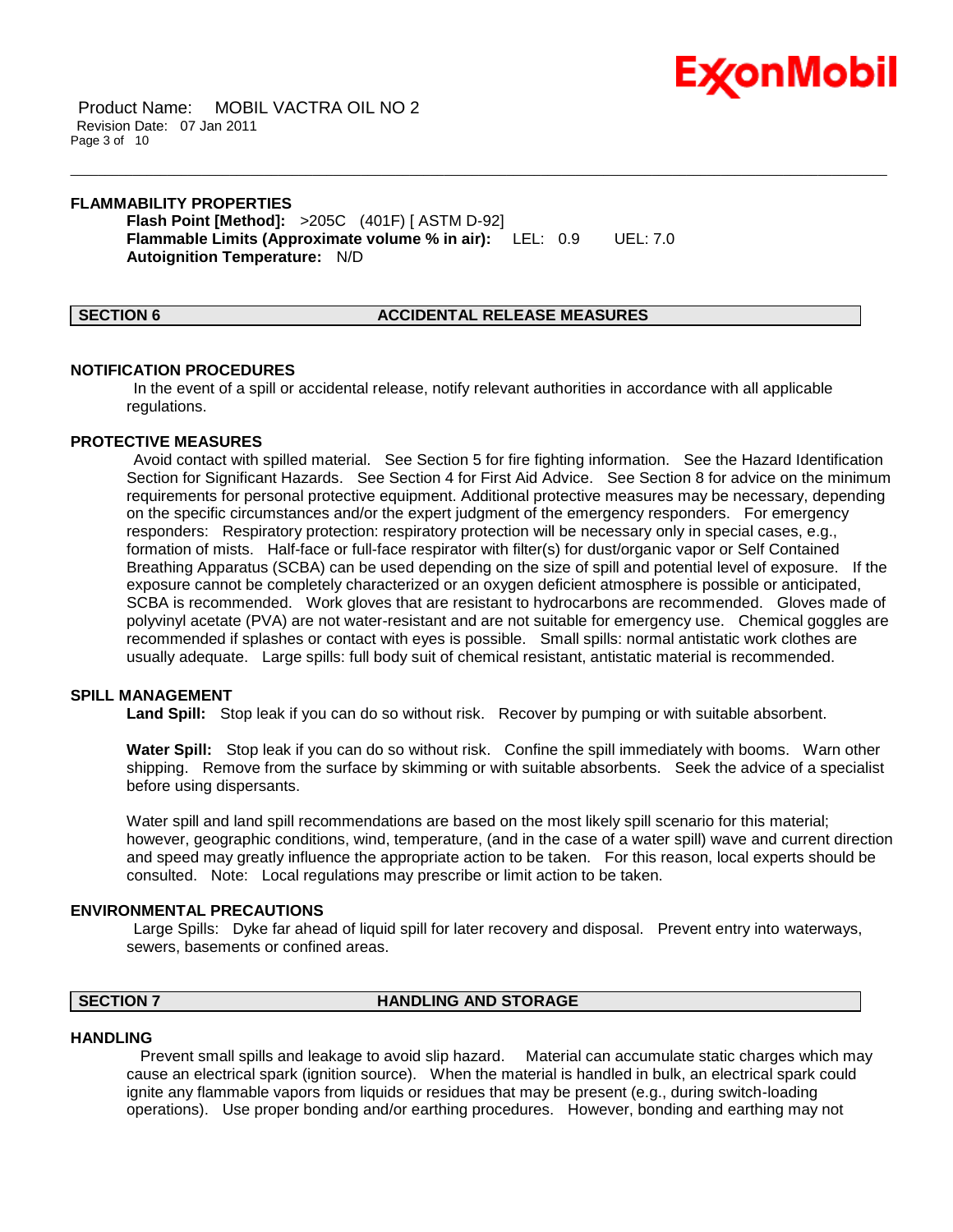

Product Name: MOBIL VACTRA OIL NO 2 Revision Date: 07 Jan 2011 Page 3 of 10

#### **FLAMMABILITY PROPERTIES**

**Flash Point [Method]:** >205C (401F) [ ASTM D-92] **Flammable Limits (Approximate volume % in air):** LEL: 0.9 UEL: 7.0 **Autoignition Temperature:** N/D

#### **SECTION 6 ACCIDENTAL RELEASE MEASURES**

#### **NOTIFICATION PROCEDURES**

In the event of a spill or accidental release, notify relevant authorities in accordance with all applicable regulations.

\_\_\_\_\_\_\_\_\_\_\_\_\_\_\_\_\_\_\_\_\_\_\_\_\_\_\_\_\_\_\_\_\_\_\_\_\_\_\_\_\_\_\_\_\_\_\_\_\_\_\_\_\_\_\_\_\_\_\_\_\_\_\_\_\_\_\_\_\_\_\_\_\_\_\_\_\_\_\_\_\_\_\_\_\_\_\_\_\_\_\_\_\_\_\_\_\_\_\_\_\_\_\_\_\_\_\_\_\_\_\_\_\_\_\_\_\_\_

#### **PROTECTIVE MEASURES**

Avoid contact with spilled material. See Section 5 for fire fighting information. See the Hazard Identification Section for Significant Hazards. See Section 4 for First Aid Advice. See Section 8 for advice on the minimum requirements for personal protective equipment. Additional protective measures may be necessary, depending on the specific circumstances and/or the expert judgment of the emergency responders. For emergency responders: Respiratory protection: respiratory protection will be necessary only in special cases, e.g., formation of mists. Half-face or full-face respirator with filter(s) for dust/organic vapor or Self Contained Breathing Apparatus (SCBA) can be used depending on the size of spill and potential level of exposure. If the exposure cannot be completely characterized or an oxygen deficient atmosphere is possible or anticipated, SCBA is recommended. Work gloves that are resistant to hydrocarbons are recommended. Gloves made of polyvinyl acetate (PVA) are not water-resistant and are not suitable for emergency use. Chemical goggles are recommended if splashes or contact with eyes is possible. Small spills: normal antistatic work clothes are usually adequate. Large spills: full body suit of chemical resistant, antistatic material is recommended.

#### **SPILL MANAGEMENT**

**Land Spill:** Stop leak if you can do so without risk. Recover by pumping or with suitable absorbent.

**Water Spill:** Stop leak if you can do so without risk. Confine the spill immediately with booms. Warn other shipping. Remove from the surface by skimming or with suitable absorbents. Seek the advice of a specialist before using dispersants.

Water spill and land spill recommendations are based on the most likely spill scenario for this material; however, geographic conditions, wind, temperature, (and in the case of a water spill) wave and current direction and speed may greatly influence the appropriate action to be taken. For this reason, local experts should be consulted. Note: Local regulations may prescribe or limit action to be taken.

#### **ENVIRONMENTAL PRECAUTIONS**

Large Spills: Dyke far ahead of liquid spill for later recovery and disposal. Prevent entry into waterways, sewers, basements or confined areas.

### **SECTION 7 HANDLING AND STORAGE**

#### **HANDLING**

 Prevent small spills and leakage to avoid slip hazard. Material can accumulate static charges which may cause an electrical spark (ignition source). When the material is handled in bulk, an electrical spark could ignite any flammable vapors from liquids or residues that may be present (e.g., during switch-loading operations). Use proper bonding and/or earthing procedures. However, bonding and earthing may not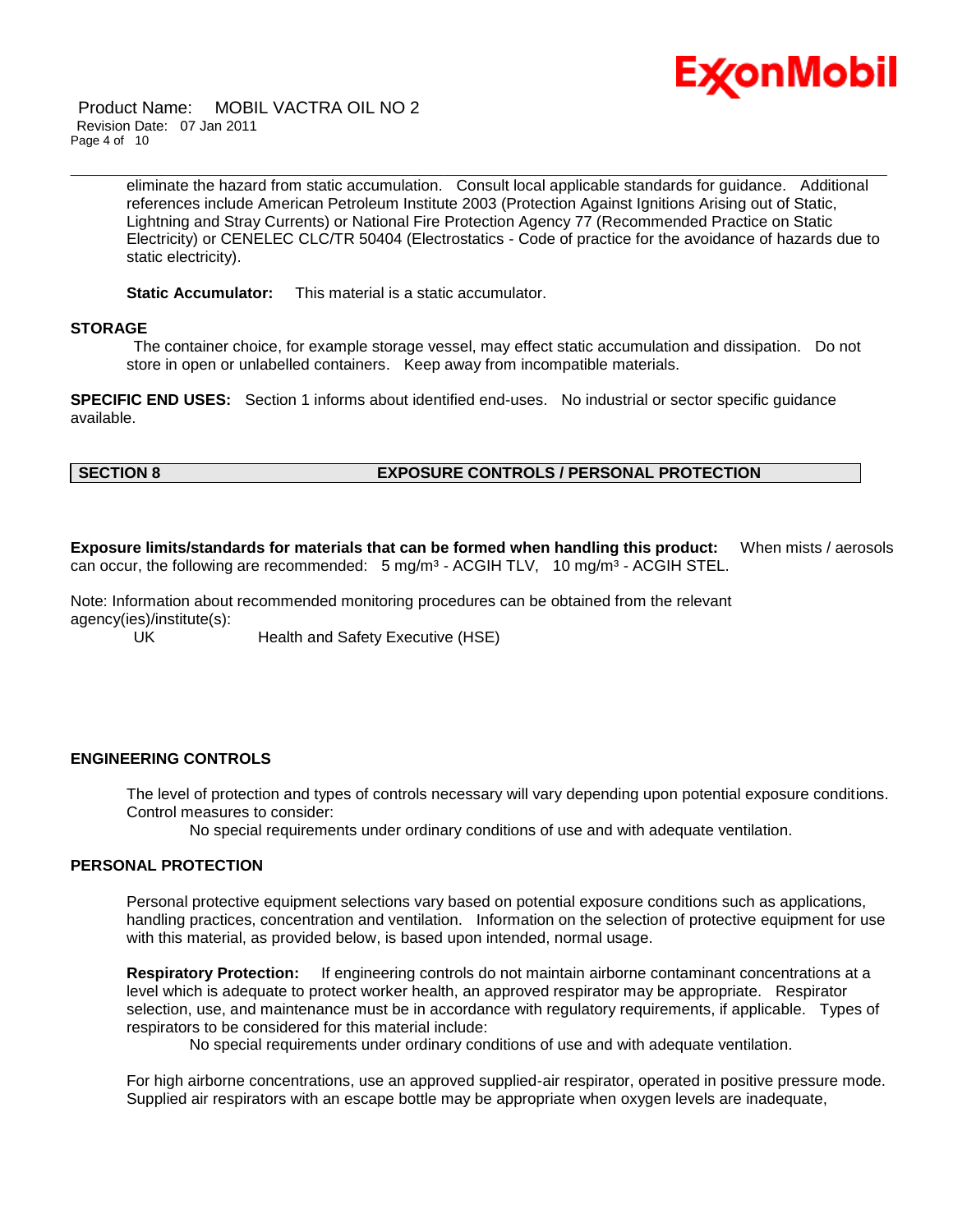

Product Name: MOBIL VACTRA OIL NO 2 Revision Date: 07 Jan 2011 Page 4 of 10

> eliminate the hazard from static accumulation. Consult local applicable standards for guidance. Additional references include American Petroleum Institute 2003 (Protection Against Ignitions Arising out of Static, Lightning and Stray Currents) or National Fire Protection Agency 77 (Recommended Practice on Static Electricity) or CENELEC CLC/TR 50404 (Electrostatics - Code of practice for the avoidance of hazards due to static electricity).

\_\_\_\_\_\_\_\_\_\_\_\_\_\_\_\_\_\_\_\_\_\_\_\_\_\_\_\_\_\_\_\_\_\_\_\_\_\_\_\_\_\_\_\_\_\_\_\_\_\_\_\_\_\_\_\_\_\_\_\_\_\_\_\_\_\_\_\_\_\_\_\_\_\_\_\_\_\_\_\_\_\_\_\_\_\_\_\_\_\_\_\_\_\_\_\_\_\_\_\_\_\_\_\_\_\_\_\_\_\_\_\_\_\_\_\_\_\_

**Static Accumulator:** This material is a static accumulator.

#### **STORAGE**

The container choice, for example storage vessel, may effect static accumulation and dissipation. Do not store in open or unlabelled containers. Keep away from incompatible materials.

**SPECIFIC END USES:** Section 1 informs about identified end-uses. No industrial or sector specific guidance available.

### **SECTION 8 EXPOSURE CONTROLS / PERSONAL PROTECTION**

**Exposure limits/standards for materials that can be formed when handling this product:** When mists / aerosols can occur, the following are recommended:  $5 \text{ mg/m}^3$  - ACGIH TLV, 10 mg/m<sup>3</sup> - ACGIH STEL.

Note: Information about recommended monitoring procedures can be obtained from the relevant agency(ies)/institute(s):

UK Health and Safety Executive (HSE)

#### **ENGINEERING CONTROLS**

The level of protection and types of controls necessary will vary depending upon potential exposure conditions. Control measures to consider:

No special requirements under ordinary conditions of use and with adequate ventilation.

#### **PERSONAL PROTECTION**

Personal protective equipment selections vary based on potential exposure conditions such as applications, handling practices, concentration and ventilation. Information on the selection of protective equipment for use with this material, as provided below, is based upon intended, normal usage.

**Respiratory Protection:** If engineering controls do not maintain airborne contaminant concentrations at a level which is adequate to protect worker health, an approved respirator may be appropriate. Respirator selection, use, and maintenance must be in accordance with regulatory requirements, if applicable. Types of respirators to be considered for this material include:

No special requirements under ordinary conditions of use and with adequate ventilation.

For high airborne concentrations, use an approved supplied-air respirator, operated in positive pressure mode. Supplied air respirators with an escape bottle may be appropriate when oxygen levels are inadequate,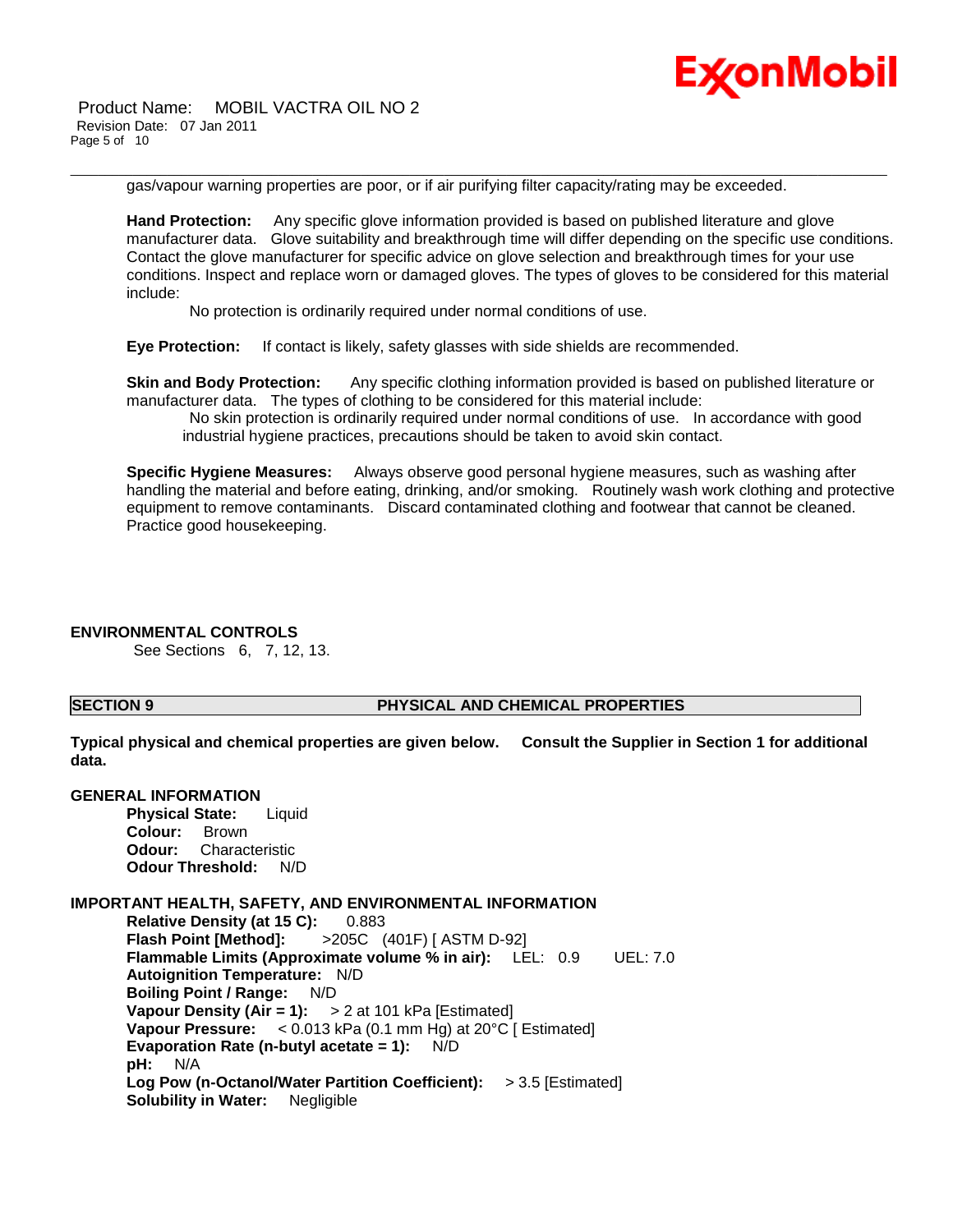

Product Name: MOBIL VACTRA OIL NO 2 Revision Date: 07 Jan 2011 Page 5 of 10

gas/vapour warning properties are poor, or if air purifying filter capacity/rating may be exceeded.

\_\_\_\_\_\_\_\_\_\_\_\_\_\_\_\_\_\_\_\_\_\_\_\_\_\_\_\_\_\_\_\_\_\_\_\_\_\_\_\_\_\_\_\_\_\_\_\_\_\_\_\_\_\_\_\_\_\_\_\_\_\_\_\_\_\_\_\_\_\_\_\_\_\_\_\_\_\_\_\_\_\_\_\_\_\_\_\_\_\_\_\_\_\_\_\_\_\_\_\_\_\_\_\_\_\_\_\_\_\_\_\_\_\_\_\_\_\_

**Hand Protection:** Any specific glove information provided is based on published literature and glove manufacturer data. Glove suitability and breakthrough time will differ depending on the specific use conditions. Contact the glove manufacturer for specific advice on glove selection and breakthrough times for your use conditions. Inspect and replace worn or damaged gloves. The types of gloves to be considered for this material include:

No protection is ordinarily required under normal conditions of use.

**Eye Protection:** If contact is likely, safety glasses with side shields are recommended.

**Skin and Body Protection:** Any specific clothing information provided is based on published literature or manufacturer data. The types of clothing to be considered for this material include:

No skin protection is ordinarily required under normal conditions of use. In accordance with good industrial hygiene practices, precautions should be taken to avoid skin contact.

**Specific Hygiene Measures:** Always observe good personal hygiene measures, such as washing after handling the material and before eating, drinking, and/or smoking. Routinely wash work clothing and protective equipment to remove contaminants. Discard contaminated clothing and footwear that cannot be cleaned. Practice good housekeeping.

### **ENVIRONMENTAL CONTROLS**

See Sections 6, 7, 12, 13.

#### **SECTION 9 PHYSICAL AND CHEMICAL PROPERTIES**

**Typical physical and chemical properties are given below. Consult the Supplier in Section 1 for additional data.**

| <b>GENERAL INFORMATION</b>                                                                                   |
|--------------------------------------------------------------------------------------------------------------|
| <b>Physical State:</b> Liquid                                                                                |
| Colour: Brown                                                                                                |
| <b>Odour:</b> Characteristic                                                                                 |
| <b>Odour Threshold: N/D</b>                                                                                  |
|                                                                                                              |
| IMPORTANT HEALTH, SAFETY, AND ENVIRONMENTAL INFORMATION                                                      |
| Relative Density (at 15 C): 0.883                                                                            |
| <b>Flash Point [Method]:</b> >205C (401F) [ ASTM D-92]                                                       |
| Flammable Limits (Approximate volume % in air): LEL: 0.9 UEL: 7.0                                            |
| Autoignition Temperature: N/D                                                                                |
| Boiling Point / Range: N/D                                                                                   |
| Vapour Density (Air = 1): $> 2$ at 101 kPa [Estimated]                                                       |
| Vapour Pressure: $< 0.013$ kPa (0.1 mm Hg) at 20 $^{\circ}$ C [ Estimated]                                   |
| Evaporation Rate (n-butyl acetate = 1): $N/D$                                                                |
| <b>pH:</b> N/A                                                                                               |
| Log Pow (n-Octanol/Water Partition Coefficient): > 3.5 [Estimated]<br><b>Solubility in Water:</b> Negligible |
|                                                                                                              |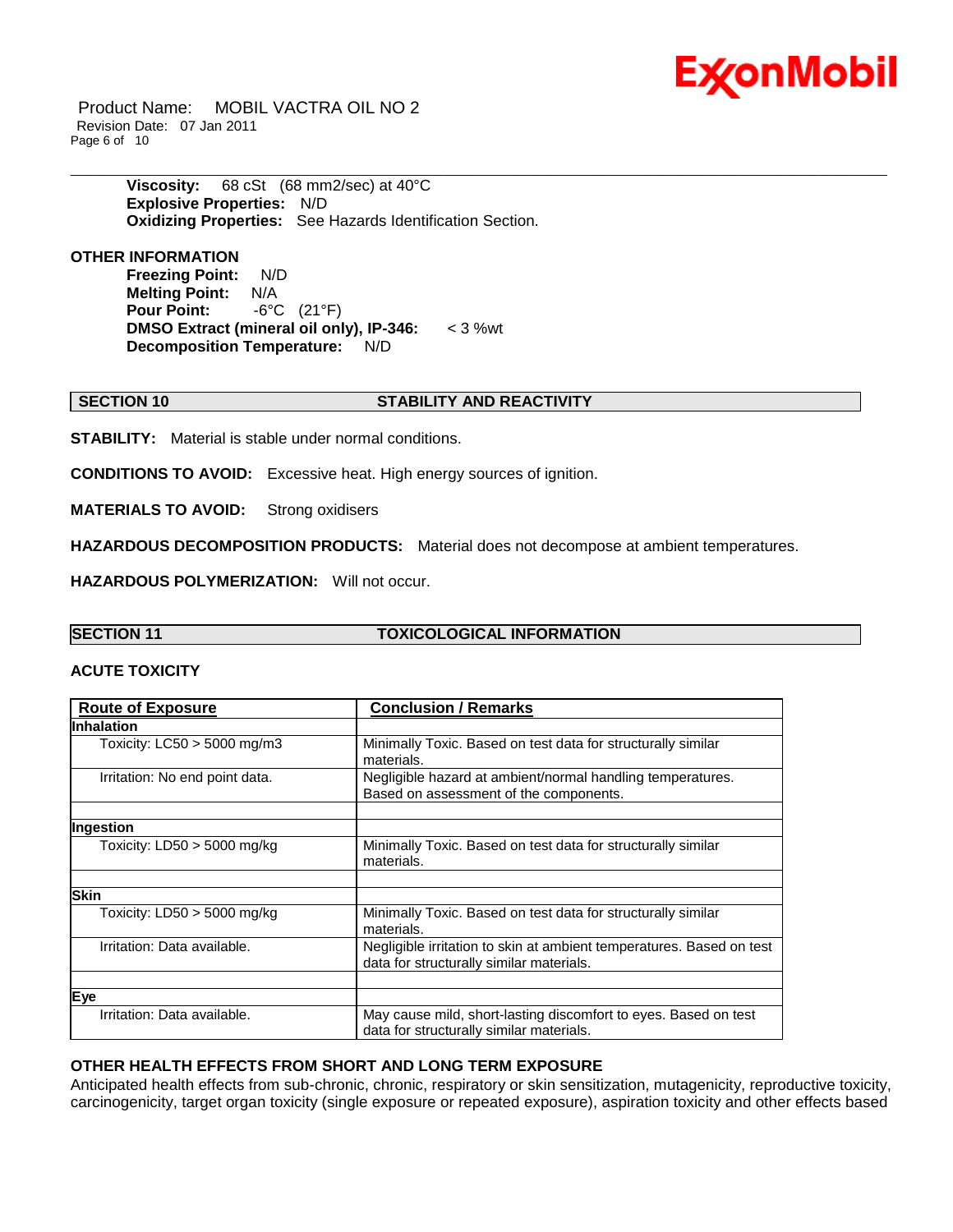# Ex⁄onMobil

Product Name: MOBIL VACTRA OIL NO 2 Revision Date: 07 Jan 2011 Page 6 of 10

> **Viscosity:** 68 cSt (68 mm2/sec) at 40°C **Explosive Properties:** N/D **Oxidizing Properties:** See Hazards Identification Section.

### **OTHER INFORMATION**

**Freezing Point:** N/D **Melting Point:** N/A **Pour Point:** -6°C (21°F) **DMSO Extract (mineral oil only), IP-346:** < 3 %wt **Decomposition Temperature:** N/D

### **SECTION 10 STABILITY AND REACTIVITY**

**STABILITY:** Material is stable under normal conditions.

**CONDITIONS TO AVOID:** Excessive heat. High energy sources of ignition.

**MATERIALS TO AVOID:** Strong oxidisers

**HAZARDOUS DECOMPOSITION PRODUCTS:** Material does not decompose at ambient temperatures.

\_\_\_\_\_\_\_\_\_\_\_\_\_\_\_\_\_\_\_\_\_\_\_\_\_\_\_\_\_\_\_\_\_\_\_\_\_\_\_\_\_\_\_\_\_\_\_\_\_\_\_\_\_\_\_\_\_\_\_\_\_\_\_\_\_\_\_\_\_\_\_\_\_\_\_\_\_\_\_\_\_\_\_\_\_\_\_\_\_\_\_\_\_\_\_\_\_\_\_\_\_\_\_\_\_\_\_\_\_\_\_\_\_\_\_\_\_\_

**HAZARDOUS POLYMERIZATION:** Will not occur.

### **SECTION 11 TOXICOLOGICAL INFORMATION**

### **ACUTE TOXICITY**

| <b>Route of Exposure</b>       | <b>Conclusion / Remarks</b>                                                                                      |  |
|--------------------------------|------------------------------------------------------------------------------------------------------------------|--|
| <b>Inhalation</b>              |                                                                                                                  |  |
| Toxicity: $LC50 > 5000$ mg/m3  | Minimally Toxic. Based on test data for structurally similar<br>materials.                                       |  |
| Irritation: No end point data. | Negligible hazard at ambient/normal handling temperatures.<br>Based on assessment of the components.             |  |
|                                |                                                                                                                  |  |
| Ingestion                      |                                                                                                                  |  |
| Toxicity: $LD50 > 5000$ mg/kg  | Minimally Toxic. Based on test data for structurally similar<br>materials.                                       |  |
|                                |                                                                                                                  |  |
| <b>Skin</b>                    |                                                                                                                  |  |
| Toxicity: $LD50 > 5000$ mg/kg  | Minimally Toxic. Based on test data for structurally similar<br>materials.                                       |  |
| Irritation: Data available.    | Negligible irritation to skin at ambient temperatures. Based on test<br>data for structurally similar materials. |  |
|                                |                                                                                                                  |  |
| Eye                            |                                                                                                                  |  |
| Irritation: Data available.    | May cause mild, short-lasting discomfort to eyes. Based on test<br>data for structurally similar materials.      |  |

#### **OTHER HEALTH EFFECTS FROM SHORT AND LONG TERM EXPOSURE**

Anticipated health effects from sub-chronic, chronic, respiratory or skin sensitization, mutagenicity, reproductive toxicity, carcinogenicity, target organ toxicity (single exposure or repeated exposure), aspiration toxicity and other effects based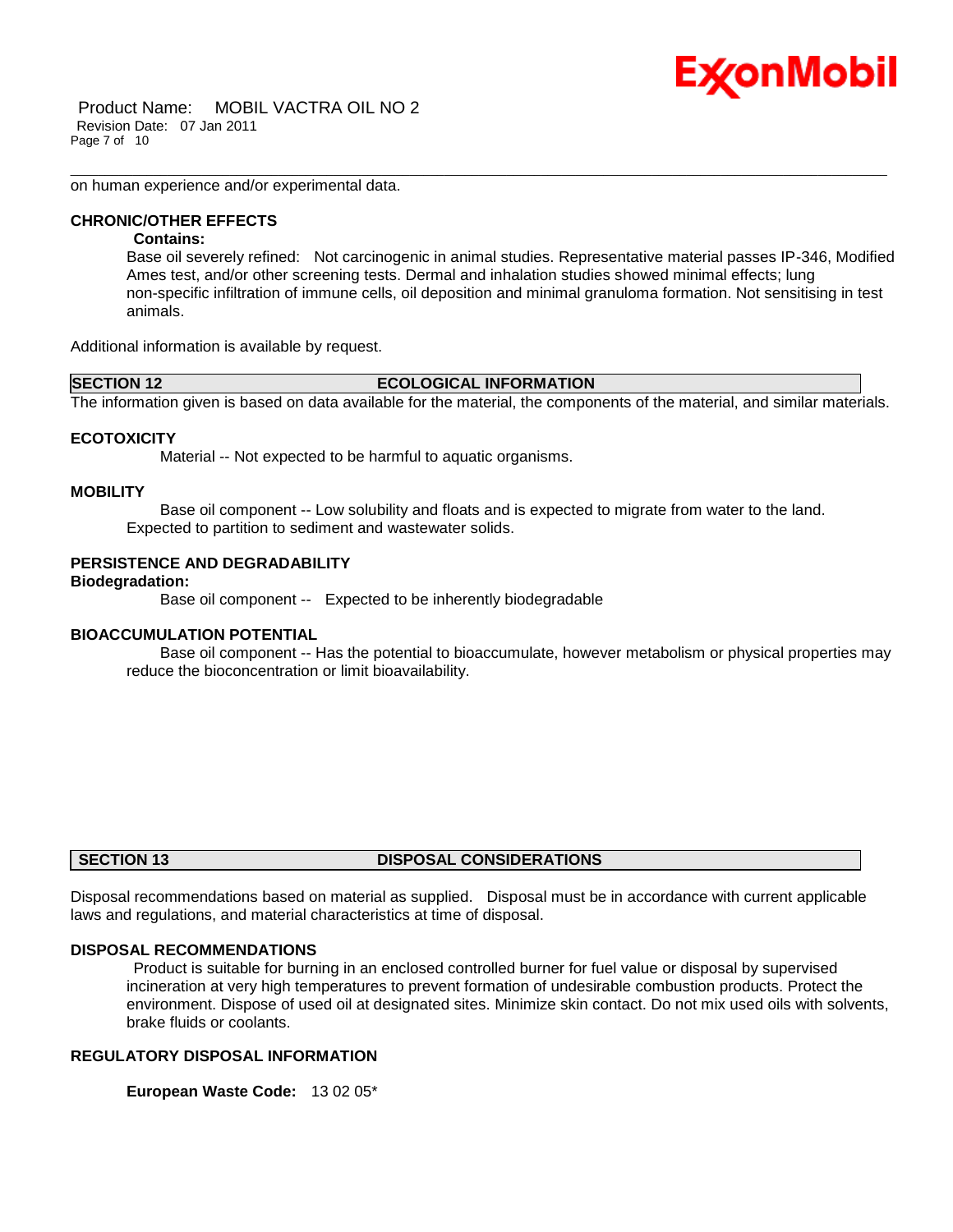on human experience and/or experimental data.

#### **CHRONIC/OTHER EFFECTS**

#### **Contains:**

Base oil severely refined: Not carcinogenic in animal studies. Representative material passes IP-346, Modified Ames test, and/or other screening tests. Dermal and inhalation studies showed minimal effects; lung non-specific infiltration of immune cells, oil deposition and minimal granuloma formation. Not sensitising in test animals.

Ex⁄onMobil

Additional information is available by request.

#### **SECTION 12 ECOLOGICAL INFORMATION**

\_\_\_\_\_\_\_\_\_\_\_\_\_\_\_\_\_\_\_\_\_\_\_\_\_\_\_\_\_\_\_\_\_\_\_\_\_\_\_\_\_\_\_\_\_\_\_\_\_\_\_\_\_\_\_\_\_\_\_\_\_\_\_\_\_\_\_\_\_\_\_\_\_\_\_\_\_\_\_\_\_\_\_\_\_\_\_\_\_\_\_\_\_\_\_\_\_\_\_\_\_\_\_\_\_\_\_\_\_\_\_\_\_\_\_\_\_\_

The information given is based on data available for the material, the components of the material, and similar materials.

#### **ECOTOXICITY**

Material -- Not expected to be harmful to aquatic organisms.

#### **MOBILITY**

 Base oil component -- Low solubility and floats and is expected to migrate from water to the land. Expected to partition to sediment and wastewater solids.

### **PERSISTENCE AND DEGRADABILITY**

**Biodegradation:**

Base oil component -- Expected to be inherently biodegradable

#### **BIOACCUMULATION POTENTIAL**

 Base oil component -- Has the potential to bioaccumulate, however metabolism or physical properties may reduce the bioconcentration or limit bioavailability.

#### **SECTION 13 DISPOSAL CONSIDERATIONS**

Disposal recommendations based on material as supplied. Disposal must be in accordance with current applicable laws and regulations, and material characteristics at time of disposal.

#### **DISPOSAL RECOMMENDATIONS**

Product is suitable for burning in an enclosed controlled burner for fuel value or disposal by supervised incineration at very high temperatures to prevent formation of undesirable combustion products. Protect the environment. Dispose of used oil at designated sites. Minimize skin contact. Do not mix used oils with solvents, brake fluids or coolants.

#### **REGULATORY DISPOSAL INFORMATION**

**European Waste Code:** 13 02 05\*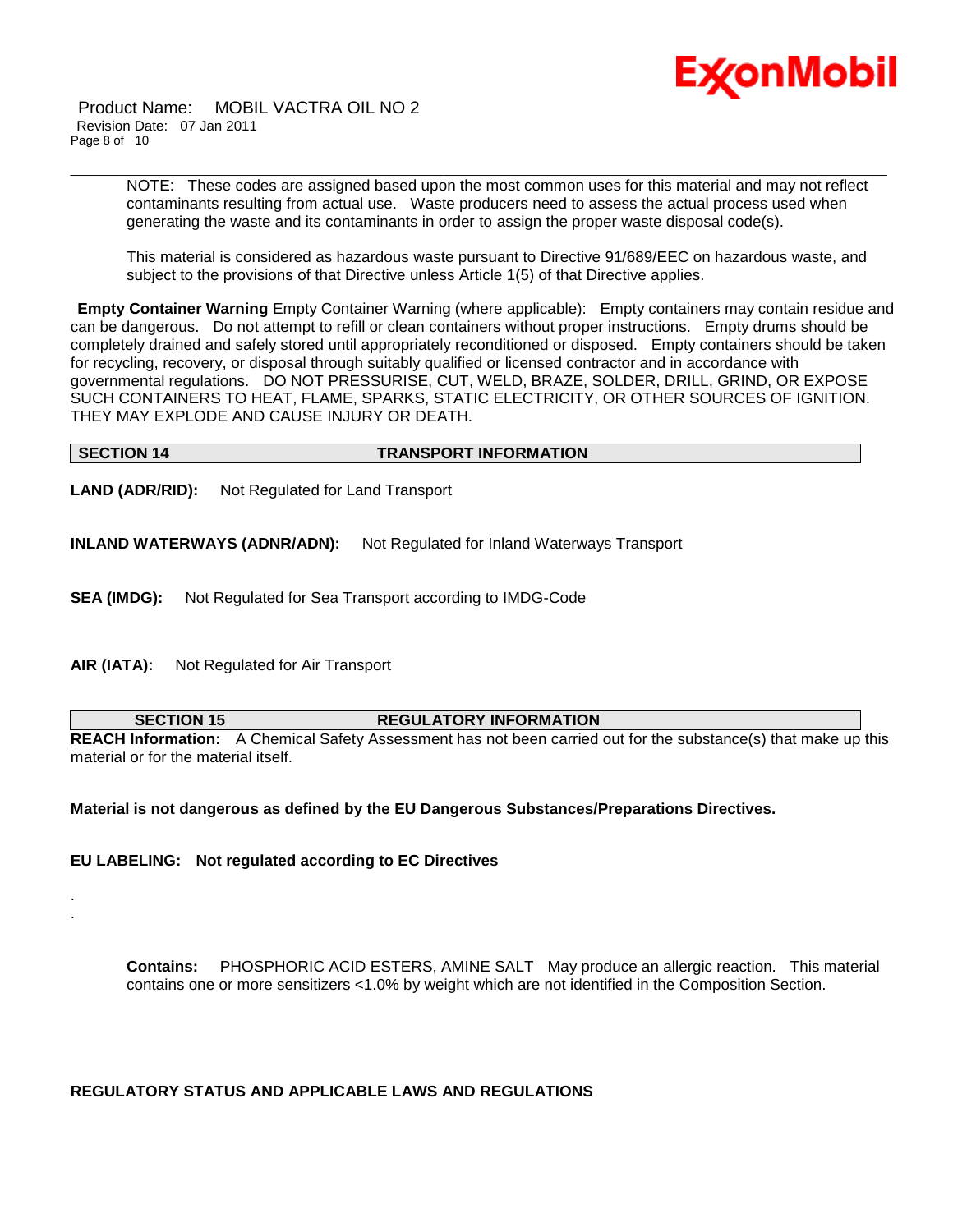

Product Name: MOBIL VACTRA OIL NO 2 Revision Date: 07 Jan 2011 Page 8 of 10

> NOTE: These codes are assigned based upon the most common uses for this material and may not reflect contaminants resulting from actual use. Waste producers need to assess the actual process used when generating the waste and its contaminants in order to assign the proper waste disposal code(s).

\_\_\_\_\_\_\_\_\_\_\_\_\_\_\_\_\_\_\_\_\_\_\_\_\_\_\_\_\_\_\_\_\_\_\_\_\_\_\_\_\_\_\_\_\_\_\_\_\_\_\_\_\_\_\_\_\_\_\_\_\_\_\_\_\_\_\_\_\_\_\_\_\_\_\_\_\_\_\_\_\_\_\_\_\_\_\_\_\_\_\_\_\_\_\_\_\_\_\_\_\_\_\_\_\_\_\_\_\_\_\_\_\_\_\_\_\_\_

This material is considered as hazardous waste pursuant to Directive 91/689/EEC on hazardous waste, and subject to the provisions of that Directive unless Article 1(5) of that Directive applies.

**Empty Container Warning** Empty Container Warning (where applicable): Empty containers may contain residue and can be dangerous. Do not attempt to refill or clean containers without proper instructions. Empty drums should be completely drained and safely stored until appropriately reconditioned or disposed. Empty containers should be taken for recycling, recovery, or disposal through suitably qualified or licensed contractor and in accordance with governmental regulations. DO NOT PRESSURISE, CUT, WELD, BRAZE, SOLDER, DRILL, GRIND, OR EXPOSE SUCH CONTAINERS TO HEAT, FLAME, SPARKS, STATIC ELECTRICITY, OR OTHER SOURCES OF IGNITION. THEY MAY EXPLODE AND CAUSE INJURY OR DEATH.

#### **SECTION 14 TRANSPORT INFORMATION**

**LAND (ADR/RID):** Not Regulated for Land Transport

**INLAND WATERWAYS (ADNR/ADN):** Not Regulated for Inland Waterways Transport

**SEA (IMDG):** Not Regulated for Sea Transport according to IMDG-Code

**AIR (IATA):** Not Regulated for Air Transport

. .

#### **SECTION 15 REGULATORY INFORMATION**

**REACH Information:** A Chemical Safety Assessment has not been carried out for the substance(s) that make up this material or for the material itself.

**Material is not dangerous as defined by the EU Dangerous Substances/Preparations Directives.**

**EU LABELING: Not regulated according to EC Directives**

**Contains:** PHOSPHORIC ACID ESTERS, AMINE SALT May produce an allergic reaction. This material contains one or more sensitizers <1.0% by weight which are not identified in the Composition Section.

#### **REGULATORY STATUS AND APPLICABLE LAWS AND REGULATIONS**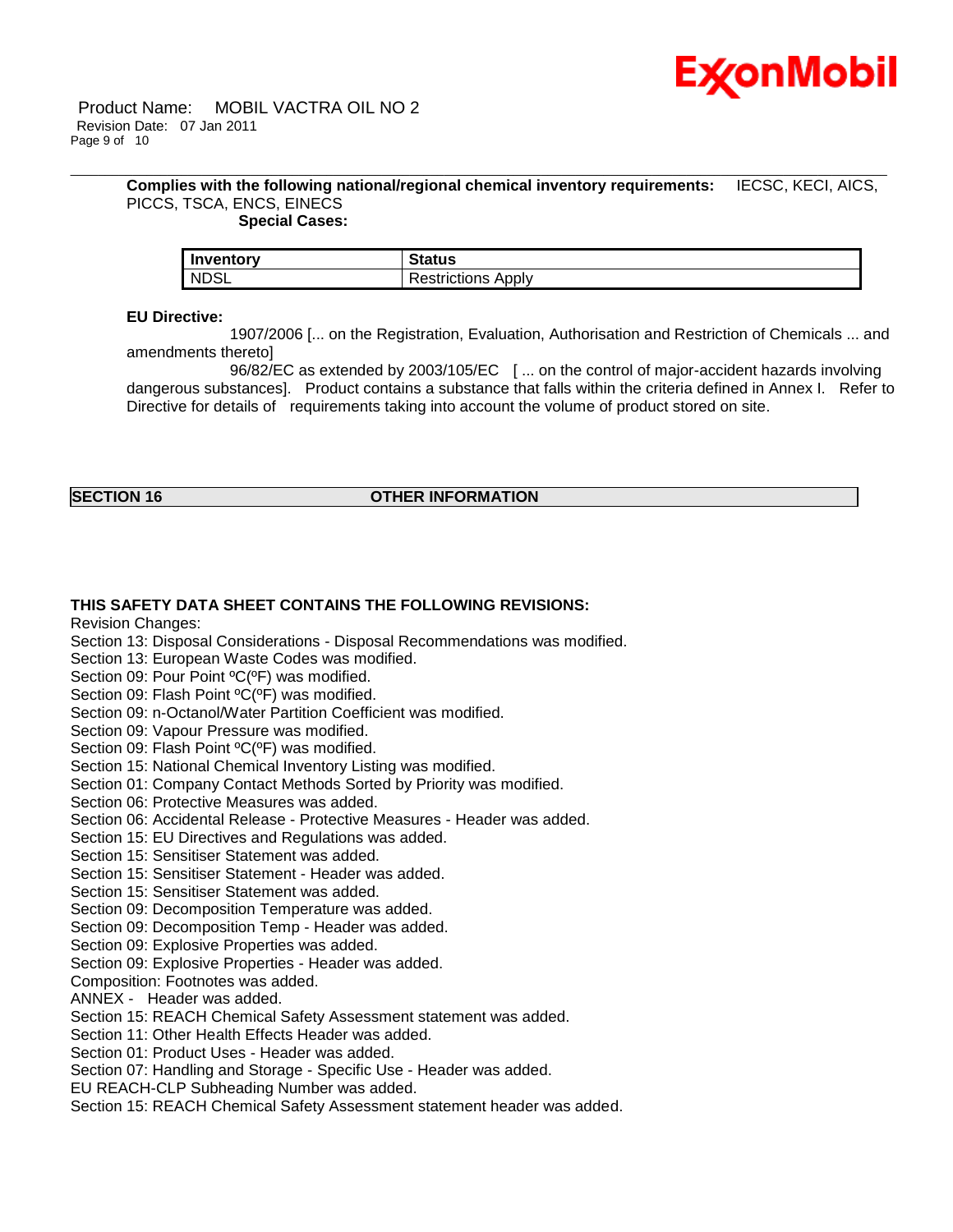

#### **Complies with the following national/regional chemical inventory requirements:** IECSC, KECI, AICS, PICCS, TSCA, ENCS, EINECS  **Special Cases:**

\_\_\_\_\_\_\_\_\_\_\_\_\_\_\_\_\_\_\_\_\_\_\_\_\_\_\_\_\_\_\_\_\_\_\_\_\_\_\_\_\_\_\_\_\_\_\_\_\_\_\_\_\_\_\_\_\_\_\_\_\_\_\_\_\_\_\_\_\_\_\_\_\_\_\_\_\_\_\_\_\_\_\_\_\_\_\_\_\_\_\_\_\_\_\_\_\_\_\_\_\_\_\_\_\_\_\_\_\_\_\_\_\_\_\_\_\_\_

| Inventory   | itatus               |
|-------------|----------------------|
| <b>NDSL</b> | Apply<br>estrictions |

#### **EU Directive:**

 1907/2006 [... on the Registration, Evaluation, Authorisation and Restriction of Chemicals ... and amendments thereto]

 96/82/EC as extended by 2003/105/EC [ ... on the control of major-accident hazards involving dangerous substances]. Product contains a substance that falls within the criteria defined in Annex I. Refer to Directive for details of requirements taking into account the volume of product stored on site.

### **SECTION 16 OTHER INFORMATION**

#### **THIS SAFETY DATA SHEET CONTAINS THE FOLLOWING REVISIONS:**

Revision Changes:

Section 13: Disposal Considerations - Disposal Recommendations was modified.

Section 13: European Waste Codes was modified.

Section 09: Pour Point ºC(ºF) was modified.

Section 09: Flash Point ºC(ºF) was modified.

Section 09: n-Octanol/Water Partition Coefficient was modified.

Section 09: Vapour Pressure was modified.

Section 09: Flash Point ºC(ºF) was modified.

Section 15: National Chemical Inventory Listing was modified.

Section 01: Company Contact Methods Sorted by Priority was modified.

Section 06: Protective Measures was added.

Section 06: Accidental Release - Protective Measures - Header was added.

Section 15: EU Directives and Regulations was added.

Section 15: Sensitiser Statement was added.

Section 15: Sensitiser Statement - Header was added.

Section 15: Sensitiser Statement was added.

Section 09: Decomposition Temperature was added.

Section 09: Decomposition Temp - Header was added.

Section 09: Explosive Properties was added.

Section 09: Explosive Properties - Header was added.

Composition: Footnotes was added.

ANNEX - Header was added.

Section 15: REACH Chemical Safety Assessment statement was added.

Section 11: Other Health Effects Header was added.

Section 01: Product Uses - Header was added.

Section 07: Handling and Storage - Specific Use - Header was added.

EU REACH-CLP Subheading Number was added.

Section 15: REACH Chemical Safety Assessment statement header was added.